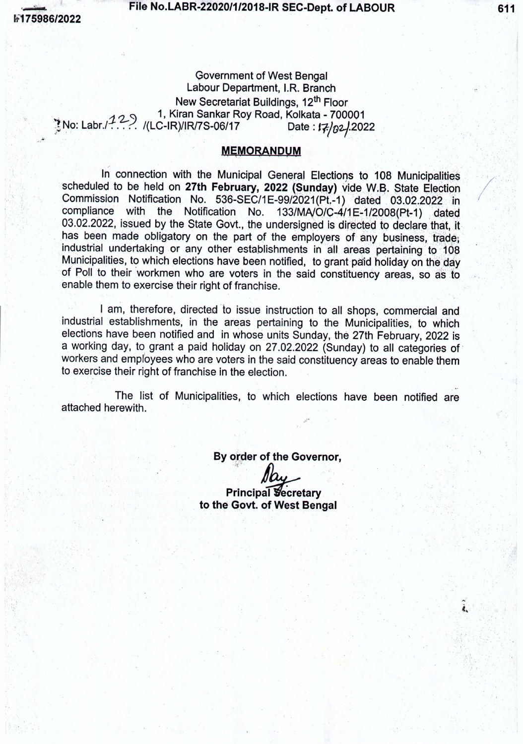**File NO.LABR-22020/1/2018-IR SEC-Dept. of LABOUR**

*<sup>~</sup> .. ' -1\,* ~,,,, , Iii*7\$.9Q6/2022*

 $\rightarrow$ 

Government of West Bengal Labour Department, I,R. Branch New Secretariat Buildings, 12<sup>th</sup> Floor 1, Kiran Sankar Roy Road, Kolkata - 700001<br>C-IR)/IR/7S-06/17 Date : **I**7/<sub>0</sub>2/2022 /~No. Labr.l ..... I(LC-IR)/JR/7S-06/17 Date . *l?/()~.?022*

## **MEMORANDUM**

 $\sqrt{2}$ *r.*

611

" .•.."I

ì.

In connection with the Municipal General Elections to 108 Municipalities scheduled to be held on 27th February, 2022 (Sunday) vide W.B. State Election Commission Notification No. 536-SEC/1E-99/2021(Pt.-1) dated 03.02.2022 in<br>compliance with the Notification No. 133/MA/O/C-4/1F-1/2008(Pt-1) dated with the Notification No. 133/MA/O/C-4/1E-1/2008(Pt-1) dated 03.02.2022, issued by the State Govt., the undersigned is directed to declare that, it has been made obligatory on the part of the employers of any business, trade; industrial undertaking or any other establishments in all areas pertaining to 108 Municipalities, to which elections have been notified, to grant paid holiday on the day of Poll to their workmen who are voters in the said constituency areas, so as to enable them to exercise their right of franchise. .

I am, therefore, directed to issue instruction to all shops, commercial and industrial establishments, in the areas pertaining to the Municipalities, to which elections have been notified and in whose units Sunday, the 27th February, 2022 is a working day, to grant a paid holiday on 27.02.2022 (Sunday) to all categories of workers and employees who are voters in the said constituency areas to enable them to exercise their right of franchise in the election.

The list of Municipalities, to which elections have been notified are attached herewith.

**By order of the Governor,** 

**Principal Secretary** 

**. to the** (;,o.vt.of West **Bengal**